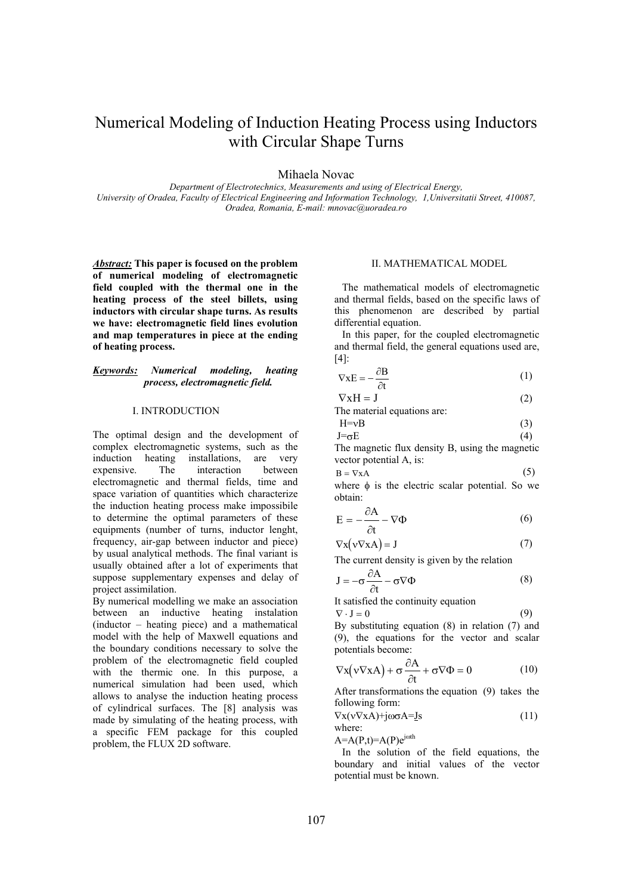# Numerical Modeling of Induction Heating Process using Inductors with Circular Shape Turns

Mihaela Novac

*Department of Electrotechnics, Measurements and using of Electrical Energy, University of Oradea, Faculty of Electrical Engineering and Information Technology, 1,Universitatii Street, 410087, Oradea, Romania, E-mail: mnovac@uoradea.ro* 

*Abstract:* **This paper is focused on the problem of numerical modeling of electromagnetic field coupled with the thermal one in the heating process of the steel billets, using inductors with circular shape turns. As results we have: electromagnetic field lines evolution and map temperatures in piece at the ending of heating process.** 

## *Keywords: Numerical modeling, heating process, electromagnetic field.*

#### I. INTRODUCTION

The optimal design and the development of complex electromagnetic systems, such as the induction heating installations, are very expensive. The interaction between electromagnetic and thermal fields, time and space variation of quantities which characterize the induction heating process make impossibile to determine the optimal parameters of these equipments (number of turns, inductor lenght, frequency, air-gap between inductor and piece) by usual analytical methods. The final variant is usually obtained after a lot of experiments that suppose supplementary expenses and delay of project assimilation.

By numerical modelling we make an association between an inductive heating instalation (inductor – heating piece) and a mathematical model with the help of Maxwell equations and the boundary conditions necessary to solve the problem of the electromagnetic field coupled with the thermic one. In this purpose, a numerical simulation had been used, which allows to analyse the induction heating process of cylindrical surfaces. The [8] analysis was made by simulating of the heating process, with a specific FEM package for this coupled problem, the FLUX 2D software.

### II. MATHEMATICAL MODEL

 The mathematical models of electromagnetic and thermal fields, based on the specific laws of this phenomenon are described by partial differential equation.

 In this paper, for the coupled electromagnetic and thermal field, the general equations used are, [4]:

$$
\nabla \mathbf{x} \mathbf{E} = -\frac{\partial \mathbf{B}}{\partial t} \tag{1}
$$

 $\nabla$ xH = J (2)

| The material equations are: |  |
|-----------------------------|--|
|-----------------------------|--|

$$
H=vB
$$
 (3)  

$$
J=\sigma E
$$
 (4)

The magnetic flux density B, using the magnetic vector potential A, is:

$$
B = \nabla X A \tag{5}
$$

where φ is the electric scalar potential. So we obtain:

$$
E = -\frac{\partial A}{\partial t} - \nabla \Phi \tag{6}
$$

$$
\nabla \mathbf{x}(\mathbf{v}\nabla \mathbf{x}\mathbf{A}) = \mathbf{J} \tag{7}
$$

The current density is given by the relation

$$
J = -\sigma \frac{\partial A}{\partial t} - \sigma \nabla \Phi \tag{8}
$$

It satisfied the continuity equation

$$
\nabla \cdot \mathbf{J} = 0 \tag{9}
$$

By substituting equation (8) in relation (7) and (9), the equations for the vector and scalar potentials become:

$$
\nabla \mathbf{x} (\mathbf{v} \nabla \mathbf{x} \mathbf{A}) + \sigma \frac{\partial \mathbf{A}}{\partial t} + \sigma \nabla \Phi = 0 \tag{10}
$$

After transformations the equation (9) takes the following form:

$$
\nabla x (v \nabla x A) + j \omega \sigma A = \underline{I} s \tag{11}
$$
\nwhere:

 $A=A(P,t)=A(P)e^{j\omega th}$ 

 In the solution of the field equations, the boundary and initial values of the vector potential must be known.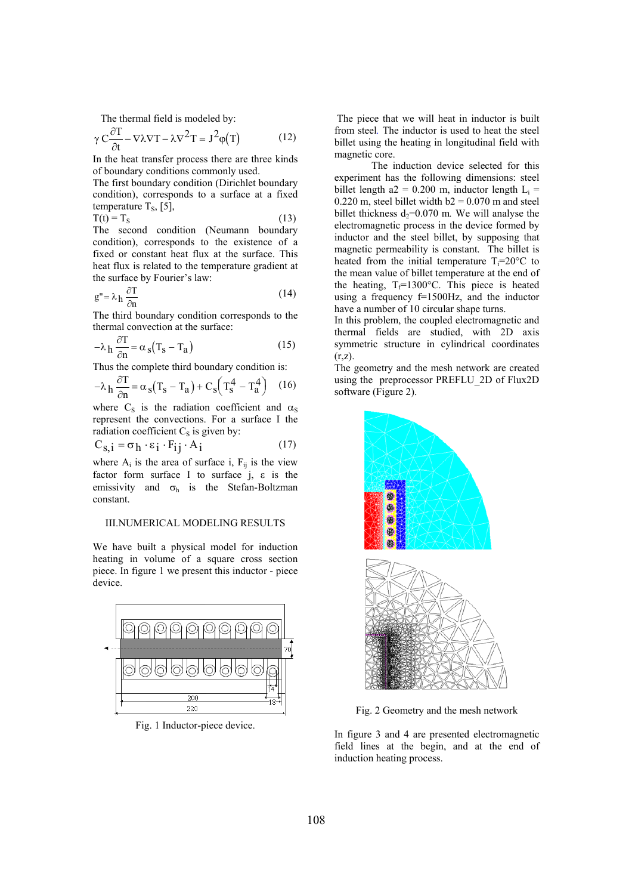The thermal field is modeled by:

$$
\gamma C \frac{\partial T}{\partial t} - \nabla \lambda \nabla T - \lambda \nabla^2 T = J^2 \varphi(T)
$$
 (12)

In the heat transfer process there are three kinds of boundary conditions commonly used.

The first boundary condition (Dirichlet boundary condition), corresponds to a surface at a fixed temperature  $T_s$ , [5],

$$
T(t) = TS
$$
 (13)

The second condition (Neumann boundary condition), corresponds to the existence of a fixed or constant heat flux at the surface. This heat flux is related to the temperature gradient at the surface by Fourier's law:

$$
g'' = \lambda_h \frac{\partial T}{\partial n}
$$
 (14)

The third boundary condition corresponds to the thermal convection at the surface:

$$
-\lambda_h \frac{\partial T}{\partial n} = \alpha_s (T_s - T_a)
$$
 (15)

Thus the complete third boundary condition is:

$$
-\lambda_h \frac{\partial T}{\partial n} = \alpha_s (T_s - T_a) + C_s (T_s^4 - T_a^4) \quad (16)
$$

where  $C_S$  is the radiation coefficient and  $\alpha_S$ represent the convections. For a surface I the radiation coefficient  $C<sub>S</sub>$  is given by:

$$
C_{S,i} = \sigma_h \cdot \varepsilon_i \cdot F_{ij} \cdot A_i \tag{17}
$$

where  $A_i$  is the area of surface i,  $F_{ij}$  is the view factor form surface I to surface j, ε is the emissivity and  $\sigma_h$  is the Stefan-Boltzman constant.

## III.NUMERICAL MODELING RESULTS

We have built a physical model for induction heating in volume of a square cross section piece. In figure 1 we present this inductor - piece device.



Fig. 1 Inductor-piece device.

 The piece that we will heat in inductor is built from steel*.* The inductor is used to heat the steel billet using the heating in longitudinal field with magnetic core.

The induction device selected for this experiment has the following dimensions: steel billet length a2 = 0.200 m, inductor length  $L_i$  = 0.220 m, steel billet width  $b2 = 0.070$  m and steel billet thickness  $d_2=0.070$  m. We will analyse the electromagnetic process in the device formed by inductor and the steel billet, by supposing that magnetic permeability is constant. The billet is heated from the initial temperature  $T_i=20^{\circ}C$  to the mean value of billet temperature at the end of the heating,  $T_f=1300$ °C. This piece is heated using a frequency f=1500Hz, and the inductor have a number of 10 circular shape turns.

In this problem, the coupled electromagnetic and thermal fields are studied, with 2D axis symmetric structure in cylindrical coordinates  $(r,z)$ .

The geometry and the mesh network are created using the preprocessor PREFLU\_2D of Flux2D software (Figure 2).



Fig. 2 Geometry and the mesh network

In figure 3 and 4 are presented electromagnetic field lines at the begin, and at the end of induction heating process.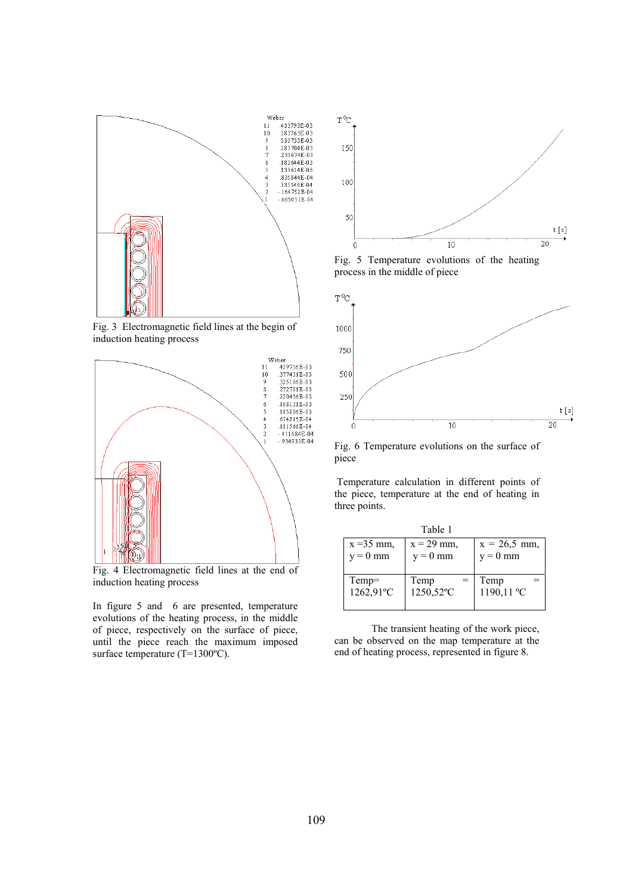

Fig. 3 Electromagnetic field lines at the begin of induction heating process



Fig. 4 Electromagnetic field lines at the end of induction heating process

In figure 5 and 6 are presented, temperature evolutions of the heating process, in the middle of piece, respectively on the surface of piece, until the piece reach the maximum imposed surface temperature (T=1300°C).



Fig. 5 Temperature evolutions of the heating process in the middle of piece



Fig. 6 Temperature evolutions on the surface of piece

 Temperature calculation in different points of the piece, temperature at the end of heating in three points.

| Table 1                    |                            |                              |  |
|----------------------------|----------------------------|------------------------------|--|
| $x = 35$ mm,<br>$y = 0$ mm | $x = 29$ mm.<br>$y = 0$ mm | $x = 26.5$ mm,<br>$y = 0$ mm |  |
|                            |                            |                              |  |
| Temp=<br>1262,91°C         | Temp<br>1250,52°C          | Temp<br>$1190, 11^{\circ}$ C |  |
|                            |                            |                              |  |

The transient heating of the work piece, can be observed on the map temperature at the end of heating process, represented in figure 8.